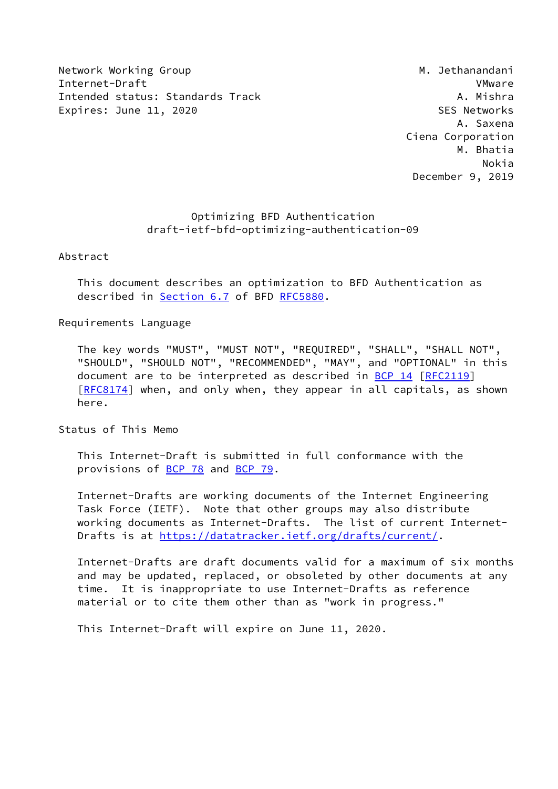Network Working Group Metwork Working Group Metwork Methods and Methods and Methods Methods and Metal Methods M Internet-Draft VMware Intended status: Standards Track A. Mishra Expires: June 11, 2020 Castle and the SES Networks

 A. Saxena Ciena Corporation M. Bhatia Nokia December 9, 2019

# Optimizing BFD Authentication draft-ietf-bfd-optimizing-authentication-09

Abstract

 This document describes an optimization to BFD Authentication as described in Section 6.7 of BFD [RFC5880](https://datatracker.ietf.org/doc/pdf/rfc5880).

#### Requirements Language

 The key words "MUST", "MUST NOT", "REQUIRED", "SHALL", "SHALL NOT", "SHOULD", "SHOULD NOT", "RECOMMENDED", "MAY", and "OPTIONAL" in this document are to be interpreted as described in [BCP 14](https://datatracker.ietf.org/doc/pdf/bcp14) [[RFC2119](https://datatracker.ietf.org/doc/pdf/rfc2119)] [\[RFC8174](https://datatracker.ietf.org/doc/pdf/rfc8174)] when, and only when, they appear in all capitals, as shown here.

Status of This Memo

 This Internet-Draft is submitted in full conformance with the provisions of [BCP 78](https://datatracker.ietf.org/doc/pdf/bcp78) and [BCP 79](https://datatracker.ietf.org/doc/pdf/bcp79).

 Internet-Drafts are working documents of the Internet Engineering Task Force (IETF). Note that other groups may also distribute working documents as Internet-Drafts. The list of current Internet- Drafts is at<https://datatracker.ietf.org/drafts/current/>.

 Internet-Drafts are draft documents valid for a maximum of six months and may be updated, replaced, or obsoleted by other documents at any time. It is inappropriate to use Internet-Drafts as reference material or to cite them other than as "work in progress."

This Internet-Draft will expire on June 11, 2020.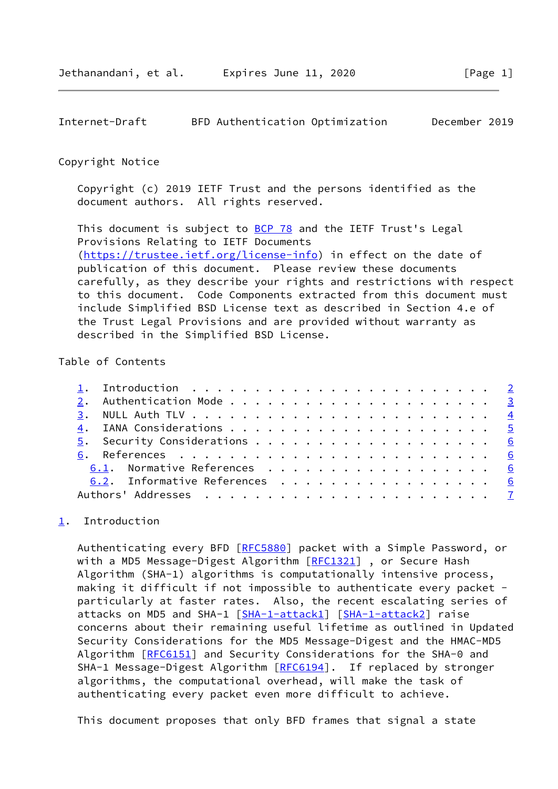### <span id="page-1-1"></span>Copyright Notice

 Copyright (c) 2019 IETF Trust and the persons identified as the document authors. All rights reserved.

This document is subject to **[BCP 78](https://datatracker.ietf.org/doc/pdf/bcp78)** and the IETF Trust's Legal Provisions Relating to IETF Documents [\(https://trustee.ietf.org/license-info](https://trustee.ietf.org/license-info)) in effect on the date of publication of this document. Please review these documents carefully, as they describe your rights and restrictions with respect to this document. Code Components extracted from this document must include Simplified BSD License text as described in Section 4.e of the Trust Legal Provisions and are provided without warranty as described in the Simplified BSD License.

# Table of Contents

|  | 6.1. Normative References 6   |  |
|--|-------------------------------|--|
|  | 6.2. Informative References 6 |  |
|  |                               |  |

# <span id="page-1-0"></span>[1](#page-1-0). Introduction

Authenticating every BFD [\[RFC5880](https://datatracker.ietf.org/doc/pdf/rfc5880)] packet with a Simple Password, or with a MD5 Message-Digest Algorithm [\[RFC1321](https://datatracker.ietf.org/doc/pdf/rfc1321)], or Secure Hash Algorithm (SHA-1) algorithms is computationally intensive process, making it difficult if not impossible to authenticate every packet particularly at faster rates. Also, the recent escalating series of attacks on MD5 and SHA-1 [\[SHA-1-attack1\]](#page-6-2) [\[SHA-1-attack2\]](#page-6-3) raise concerns about their remaining useful lifetime as outlined in Updated Security Considerations for the MD5 Message-Digest and the HMAC-MD5 Algorithm [[RFC6151](https://datatracker.ietf.org/doc/pdf/rfc6151)] and Security Considerations for the SHA-0 and SHA-1 Message-Digest Algorithm [\[RFC6194](https://datatracker.ietf.org/doc/pdf/rfc6194)]. If replaced by stronger algorithms, the computational overhead, will make the task of authenticating every packet even more difficult to achieve.

This document proposes that only BFD frames that signal a state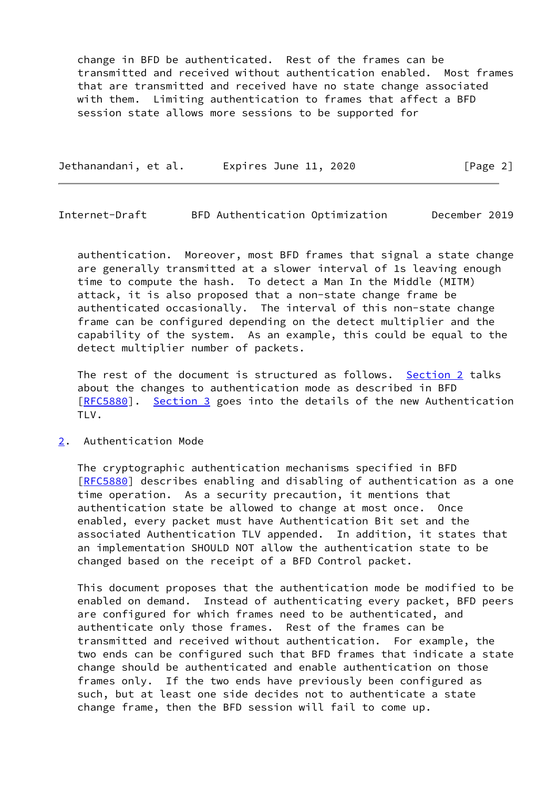change in BFD be authenticated. Rest of the frames can be transmitted and received without authentication enabled. Most frames that are transmitted and received have no state change associated with them. Limiting authentication to frames that affect a BFD session state allows more sessions to be supported for

| Jethanandani, et al. | Expires June 11, 2020 |  | [Page 2] |  |
|----------------------|-----------------------|--|----------|--|
|                      |                       |  |          |  |

<span id="page-2-1"></span>Internet-Draft BFD Authentication Optimization December 2019

 authentication. Moreover, most BFD frames that signal a state change are generally transmitted at a slower interval of 1s leaving enough time to compute the hash. To detect a Man In the Middle (MITM) attack, it is also proposed that a non-state change frame be authenticated occasionally. The interval of this non-state change frame can be configured depending on the detect multiplier and the capability of the system. As an example, this could be equal to the detect multiplier number of packets.

 The rest of the document is structured as follows. [Section 2](#page-2-0) talks about the changes to authentication mode as described in BFD [\[RFC5880](https://datatracker.ietf.org/doc/pdf/rfc5880)]. [Section 3](#page-4-0) goes into the details of the new Authentication TLV.

### <span id="page-2-0"></span>[2](#page-2-0). Authentication Mode

 The cryptographic authentication mechanisms specified in BFD [\[RFC5880](https://datatracker.ietf.org/doc/pdf/rfc5880)] describes enabling and disabling of authentication as a one time operation. As a security precaution, it mentions that authentication state be allowed to change at most once. Once enabled, every packet must have Authentication Bit set and the associated Authentication TLV appended. In addition, it states that an implementation SHOULD NOT allow the authentication state to be changed based on the receipt of a BFD Control packet.

 This document proposes that the authentication mode be modified to be enabled on demand. Instead of authenticating every packet, BFD peers are configured for which frames need to be authenticated, and authenticate only those frames. Rest of the frames can be transmitted and received without authentication. For example, the two ends can be configured such that BFD frames that indicate a state change should be authenticated and enable authentication on those frames only. If the two ends have previously been configured as such, but at least one side decides not to authenticate a state change frame, then the BFD session will fail to come up.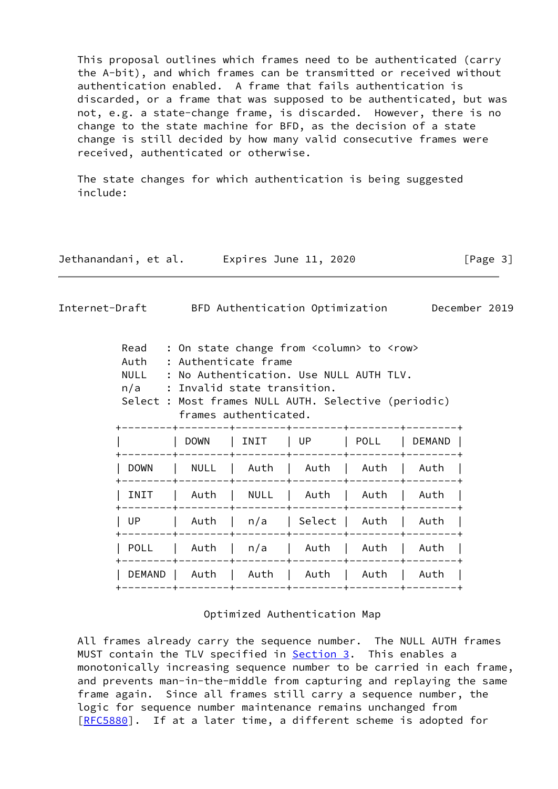This proposal outlines which frames need to be authenticated (carry the A-bit), and which frames can be transmitted or received without authentication enabled. A frame that fails authentication is discarded, or a frame that was supposed to be authenticated, but was not, e.g. a state-change frame, is discarded. However, there is no change to the state machine for BFD, as the decision of a state change is still decided by how many valid consecutive frames were received, authenticated or otherwise.

 The state changes for which authentication is being suggested include:

| Jethanandani, et al. | Expires June 11, 2020 | [Page 3] |
|----------------------|-----------------------|----------|
|                      |                       |          |

<span id="page-3-0"></span>Internet-Draft BFD Authentication Optimization December 2019

| Read<br>: On state change from <column> to <row><br/>: Authenticate frame<br/>Auth<br/>: No Authentication. Use NULL AUTH TLV.<br/><b>NULL</b><br/>: Invalid state transition.<br/>n/a<br/>Select : Most frames NULL AUTH. Selective (periodic)<br/>frames authenticated.</row></column> |             |                    |                    |      |        |
|------------------------------------------------------------------------------------------------------------------------------------------------------------------------------------------------------------------------------------------------------------------------------------------|-------------|--------------------|--------------------|------|--------|
|                                                                                                                                                                                                                                                                                          | <b>DOWN</b> | INIT               | l UP               | POLL | DEMAND |
| <b>DOWN</b>                                                                                                                                                                                                                                                                              | NULL        |                    | Auth   Auth   Auth |      | Auth   |
| INIT                                                                                                                                                                                                                                                                                     | Auth        | NULL               | Auth               | Auth | Auth   |
| UP.                                                                                                                                                                                                                                                                                      | Auth        | n/a                | Select             | Auth | Auth   |
| <b>POLL</b>                                                                                                                                                                                                                                                                              | Auth        | n/a                | Auth   Auth        |      | Auth   |
| DEMAND I                                                                                                                                                                                                                                                                                 | Auth        | Auth   Auth   Auth |                    |      | l Auth |
|                                                                                                                                                                                                                                                                                          |             |                    |                    |      |        |

Optimized Authentication Map

 All frames already carry the sequence number. The NULL AUTH frames MUST contain the TLV specified in [Section 3.](#page-4-0) This enables a monotonically increasing sequence number to be carried in each frame, and prevents man-in-the-middle from capturing and replaying the same frame again. Since all frames still carry a sequence number, the logic for sequence number maintenance remains unchanged from [\[RFC5880](https://datatracker.ietf.org/doc/pdf/rfc5880)]. If at a later time, a different scheme is adopted for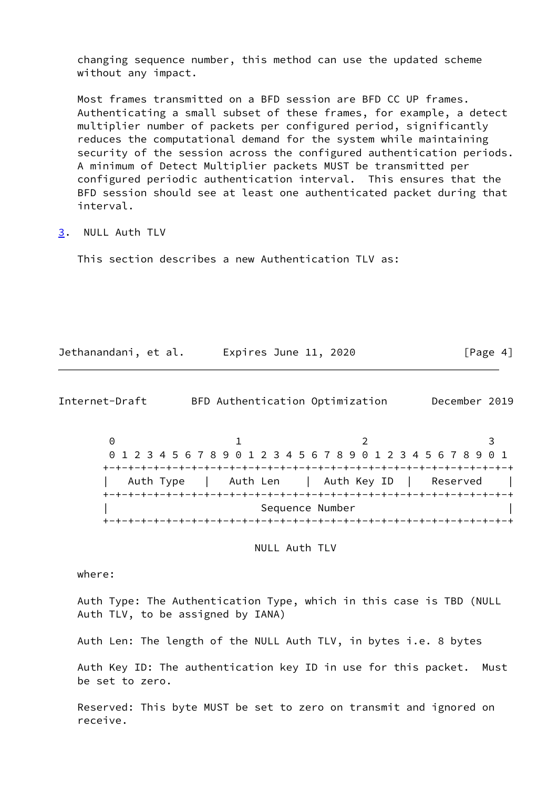changing sequence number, this method can use the updated scheme without any impact.

 Most frames transmitted on a BFD session are BFD CC UP frames. Authenticating a small subset of these frames, for example, a detect multiplier number of packets per configured period, significantly reduces the computational demand for the system while maintaining security of the session across the configured authentication periods. A minimum of Detect Multiplier packets MUST be transmitted per configured periodic authentication interval. This ensures that the BFD session should see at least one authenticated packet during that interval.

<span id="page-4-0"></span>[3](#page-4-0). NULL Auth TLV

This section describes a new Authentication TLV as:

Jethanandani, et al. Expires June 11, 2020 [Page 4]

<span id="page-4-1"></span>Internet-Draft BFD Authentication Optimization December 2019

 $0$  1 2 3 0 1 2 3 4 5 6 7 8 9 0 1 2 3 4 5 6 7 8 9 0 1 2 3 4 5 6 7 8 9 0 1 +-+-+-+-+-+-+-+-+-+-+-+-+-+-+-+-+-+-+-+-+-+-+-+-+-+-+-+-+-+-+-+-+ Auth Type | Auth Len | Auth Key ID | Reserved | +-+-+-+-+-+-+-+-+-+-+-+-+-+-+-+-+-+-+-+-+-+-+-+-+-+-+-+-+-+-+-+-+ Sequence Number +-+-+-+-+-+-+-+-+-+-+-+-+-+-+-+-+-+-+-+-+-+-+-+-+-+-+-+-+-+-+-+-+

NULL Auth TLV

where:

 Auth Type: The Authentication Type, which in this case is TBD (NULL Auth TLV, to be assigned by IANA)

Auth Len: The length of the NULL Auth TLV, in bytes i.e. 8 bytes

 Auth Key ID: The authentication key ID in use for this packet. Must be set to zero.

 Reserved: This byte MUST be set to zero on transmit and ignored on receive.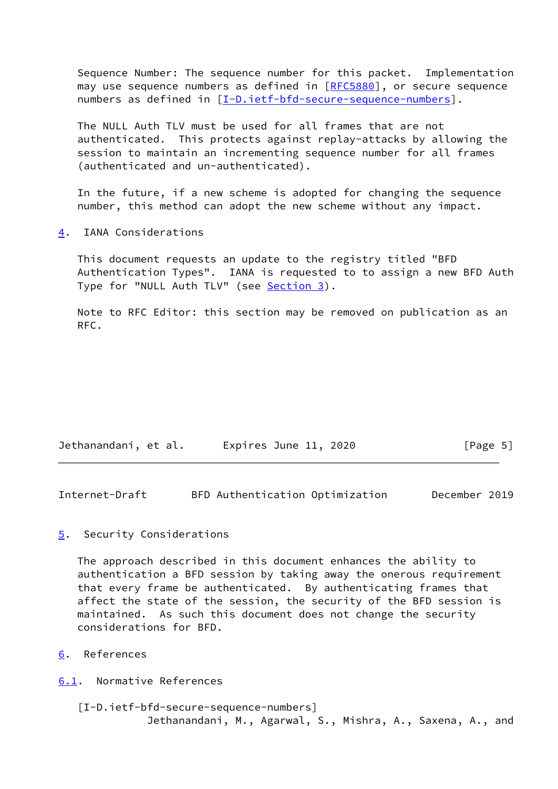Sequence Number: The sequence number for this packet. Implementation may use sequence numbers as defined in [\[RFC5880](https://datatracker.ietf.org/doc/pdf/rfc5880)], or secure sequence numbers as defined in [[I-D.ietf-bfd-secure-sequence-numbers\]](#page-5-5).

 The NULL Auth TLV must be used for all frames that are not authenticated. This protects against replay-attacks by allowing the session to maintain an incrementing sequence number for all frames (authenticated and un-authenticated).

 In the future, if a new scheme is adopted for changing the sequence number, this method can adopt the new scheme without any impact.

<span id="page-5-0"></span>[4](#page-5-0). IANA Considerations

 This document requests an update to the registry titled "BFD Authentication Types". IANA is requested to to assign a new BFD Auth Type for "NULL Auth TLV" (see [Section 3\)](#page-4-0).

 Note to RFC Editor: this section may be removed on publication as an RFC.

| Jethanandani, et al. | Expires June 11, 2020 | [Page 5] |
|----------------------|-----------------------|----------|
|----------------------|-----------------------|----------|

<span id="page-5-2"></span>Internet-Draft BFD Authentication Optimization December 2019

<span id="page-5-1"></span>[5](#page-5-1). Security Considerations

 The approach described in this document enhances the ability to authentication a BFD session by taking away the onerous requirement that every frame be authenticated. By authenticating frames that affect the state of the session, the security of the BFD session is maintained. As such this document does not change the security considerations for BFD.

<span id="page-5-3"></span>[6](#page-5-3). References

<span id="page-5-4"></span>[6.1](#page-5-4). Normative References

<span id="page-5-5"></span> [I-D.ietf-bfd-secure-sequence-numbers] Jethanandani, M., Agarwal, S., Mishra, A., Saxena, A., and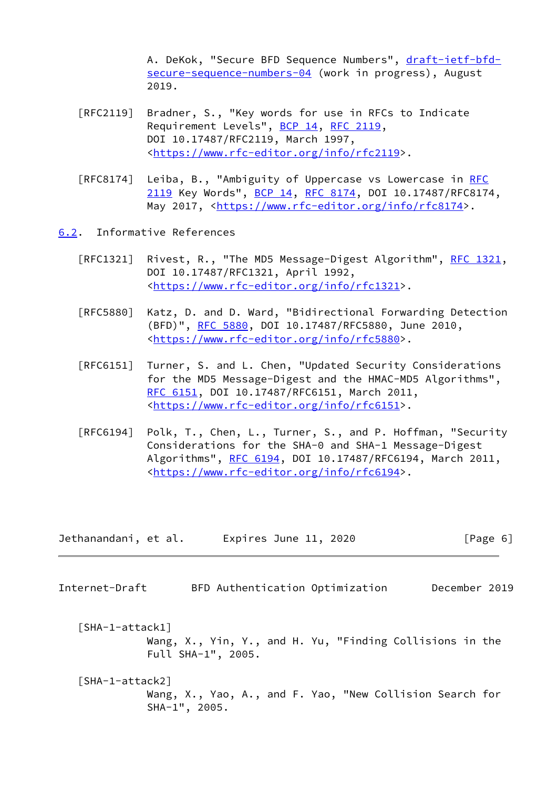A. DeKok, "Secure BFD Sequence Numbers", [draft-ietf-bfd](https://datatracker.ietf.org/doc/pdf/draft-ietf-bfd-secure-sequence-numbers-04) [secure-sequence-numbers-04](https://datatracker.ietf.org/doc/pdf/draft-ietf-bfd-secure-sequence-numbers-04) (work in progress), August 2019.

- [RFC2119] Bradner, S., "Key words for use in RFCs to Indicate Requirement Levels", [BCP 14](https://datatracker.ietf.org/doc/pdf/bcp14), [RFC 2119](https://datatracker.ietf.org/doc/pdf/rfc2119), DOI 10.17487/RFC2119, March 1997, <[https://www.rfc-editor.org/info/rfc2119>](https://www.rfc-editor.org/info/rfc2119).
- [RFC8174] Leiba, B., "Ambiguity of Uppercase vs Lowercase in [RFC](https://datatracker.ietf.org/doc/pdf/rfc2119) [2119](https://datatracker.ietf.org/doc/pdf/rfc2119) Key Words", [BCP 14](https://datatracker.ietf.org/doc/pdf/bcp14), [RFC 8174,](https://datatracker.ietf.org/doc/pdf/rfc8174) DOI 10.17487/RFC8174, May 2017, [<https://www.rfc-editor.org/info/rfc8174](https://www.rfc-editor.org/info/rfc8174)>.
- <span id="page-6-0"></span>[6.2](#page-6-0). Informative References
	- [RFC1321] Rivest, R., "The MD5 Message-Digest Algorithm", [RFC 1321,](https://datatracker.ietf.org/doc/pdf/rfc1321) DOI 10.17487/RFC1321, April 1992, <[https://www.rfc-editor.org/info/rfc1321>](https://www.rfc-editor.org/info/rfc1321).
	- [RFC5880] Katz, D. and D. Ward, "Bidirectional Forwarding Detection (BFD)", [RFC 5880,](https://datatracker.ietf.org/doc/pdf/rfc5880) DOI 10.17487/RFC5880, June 2010, <[https://www.rfc-editor.org/info/rfc5880>](https://www.rfc-editor.org/info/rfc5880).
	- [RFC6151] Turner, S. and L. Chen, "Updated Security Considerations for the MD5 Message-Digest and the HMAC-MD5 Algorithms", [RFC 6151,](https://datatracker.ietf.org/doc/pdf/rfc6151) DOI 10.17487/RFC6151, March 2011, <[https://www.rfc-editor.org/info/rfc6151>](https://www.rfc-editor.org/info/rfc6151).
	- [RFC6194] Polk, T., Chen, L., Turner, S., and P. Hoffman, "Security Considerations for the SHA-0 and SHA-1 Message-Digest Algorithms", [RFC 6194](https://datatracker.ietf.org/doc/pdf/rfc6194), DOI 10.17487/RFC6194, March 2011, <[https://www.rfc-editor.org/info/rfc6194>](https://www.rfc-editor.org/info/rfc6194).

| Jethanandani, et al. | Expires June 11, 2020 | [Page 6] |
|----------------------|-----------------------|----------|
|----------------------|-----------------------|----------|

<span id="page-6-1"></span>Internet-Draft BFD Authentication Optimization December 2019

<span id="page-6-2"></span> [SHA-1-attack1] Wang, X., Yin, Y., and H. Yu, "Finding Collisions in the Full SHA-1", 2005.

<span id="page-6-3"></span> [SHA-1-attack2] Wang, X., Yao, A., and F. Yao, "New Collision Search for SHA-1", 2005.